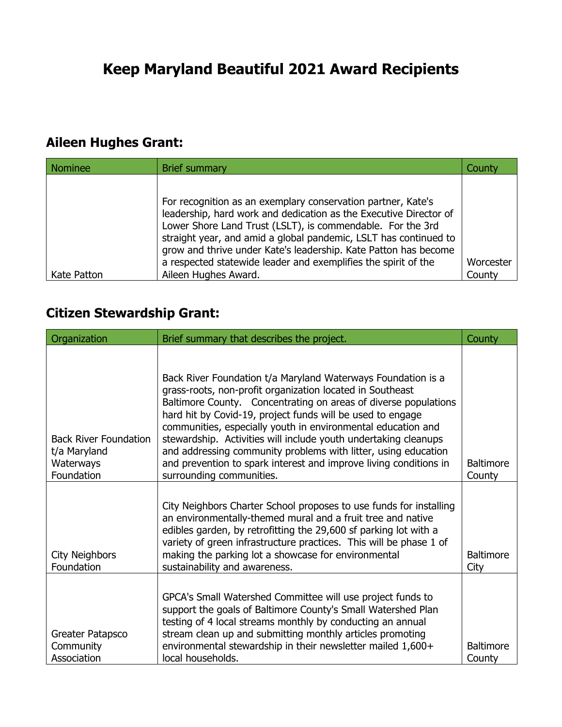## **Aileen Hughes Grant:**

| <b>Nominee</b> | <b>Brief summary</b>                                                                                                                                                                                                                                                                                                                                                                                                             | County              |
|----------------|----------------------------------------------------------------------------------------------------------------------------------------------------------------------------------------------------------------------------------------------------------------------------------------------------------------------------------------------------------------------------------------------------------------------------------|---------------------|
| Kate Patton    | For recognition as an exemplary conservation partner, Kate's<br>leadership, hard work and dedication as the Executive Director of<br>Lower Shore Land Trust (LSLT), is commendable. For the 3rd<br>straight year, and amid a global pandemic, LSLT has continued to<br>grow and thrive under Kate's leadership. Kate Patton has become<br>a respected statewide leader and exemplifies the spirit of the<br>Aileen Hughes Award. | Worcester<br>County |

## **Citizen Stewardship Grant:**

| Organization                                                            | Brief summary that describes the project.                                                                                                                                                                                                                                                                                                                                                                                                                                                                                                                        | County                     |
|-------------------------------------------------------------------------|------------------------------------------------------------------------------------------------------------------------------------------------------------------------------------------------------------------------------------------------------------------------------------------------------------------------------------------------------------------------------------------------------------------------------------------------------------------------------------------------------------------------------------------------------------------|----------------------------|
| <b>Back River Foundation</b><br>t/a Maryland<br>Waterways<br>Foundation | Back River Foundation t/a Maryland Waterways Foundation is a<br>grass-roots, non-profit organization located in Southeast<br>Baltimore County. Concentrating on areas of diverse populations<br>hard hit by Covid-19, project funds will be used to engage<br>communities, especially youth in environmental education and<br>stewardship. Activities will include youth undertaking cleanups<br>and addressing community problems with litter, using education<br>and prevention to spark interest and improve living conditions in<br>surrounding communities. | <b>Baltimore</b><br>County |
| <b>City Neighbors</b><br>Foundation                                     | City Neighbors Charter School proposes to use funds for installing<br>an environmentally-themed mural and a fruit tree and native<br>edibles garden, by retrofitting the 29,600 sf parking lot with a<br>variety of green infrastructure practices. This will be phase 1 of<br>making the parking lot a showcase for environmental<br>sustainability and awareness.                                                                                                                                                                                              | <b>Baltimore</b><br>City   |
| Greater Patapsco<br>Community<br>Association                            | GPCA's Small Watershed Committee will use project funds to<br>support the goals of Baltimore County's Small Watershed Plan<br>testing of 4 local streams monthly by conducting an annual<br>stream clean up and submitting monthly articles promoting<br>environmental stewardship in their newsletter mailed 1,600+<br>local households.                                                                                                                                                                                                                        | <b>Baltimore</b><br>County |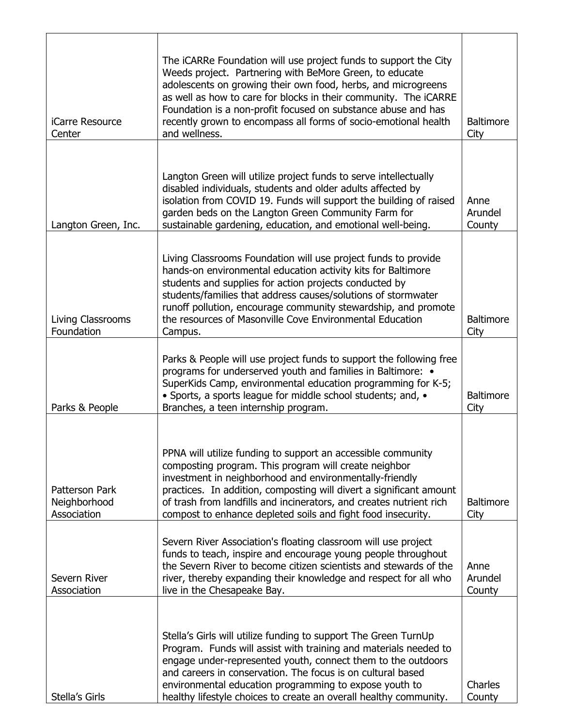| iCarre Resource<br>Center                            | The iCARRe Foundation will use project funds to support the City<br>Weeds project. Partnering with BeMore Green, to educate<br>adolescents on growing their own food, herbs, and microgreens<br>as well as how to care for blocks in their community. The iCARRE<br>Foundation is a non-profit focused on substance abuse and has<br>recently grown to encompass all forms of socio-emotional health<br>and wellness. | <b>Baltimore</b><br>City  |
|------------------------------------------------------|-----------------------------------------------------------------------------------------------------------------------------------------------------------------------------------------------------------------------------------------------------------------------------------------------------------------------------------------------------------------------------------------------------------------------|---------------------------|
| Langton Green, Inc.                                  | Langton Green will utilize project funds to serve intellectually<br>disabled individuals, students and older adults affected by<br>isolation from COVID 19. Funds will support the building of raised<br>garden beds on the Langton Green Community Farm for<br>sustainable gardening, education, and emotional well-being.                                                                                           | Anne<br>Arundel<br>County |
| Living Classrooms<br>Foundation                      | Living Classrooms Foundation will use project funds to provide<br>hands-on environmental education activity kits for Baltimore<br>students and supplies for action projects conducted by<br>students/families that address causes/solutions of stormwater<br>runoff pollution, encourage community stewardship, and promote<br>the resources of Masonville Cove Environmental Education<br>Campus.                    | <b>Baltimore</b><br>City  |
| Parks & People                                       | Parks & People will use project funds to support the following free<br>programs for underserved youth and families in Baltimore: •<br>SuperKids Camp, environmental education programming for K-5;<br>• Sports, a sports league for middle school students; and, •<br>Branches, a teen internship program.                                                                                                            | <b>Baltimore</b><br>City  |
| <b>Patterson Park</b><br>Neighborhood<br>Association | PPNA will utilize funding to support an accessible community<br>composting program. This program will create neighbor<br>investment in neighborhood and environmentally-friendly<br>practices. In addition, composting will divert a significant amount<br>of trash from landfills and incinerators, and creates nutrient rich<br>compost to enhance depleted soils and fight food insecurity.                        | <b>Baltimore</b><br>City  |
| Severn River<br>Association                          | Severn River Association's floating classroom will use project<br>funds to teach, inspire and encourage young people throughout<br>the Severn River to become citizen scientists and stewards of the<br>river, thereby expanding their knowledge and respect for all who<br>live in the Chesapeake Bay.                                                                                                               | Anne<br>Arundel<br>County |
| Stella's Girls                                       | Stella's Girls will utilize funding to support The Green TurnUp<br>Program. Funds will assist with training and materials needed to<br>engage under-represented youth, connect them to the outdoors<br>and careers in conservation. The focus is on cultural based<br>environmental education programming to expose youth to<br>healthy lifestyle choices to create an overall healthy community.                     | Charles<br>County         |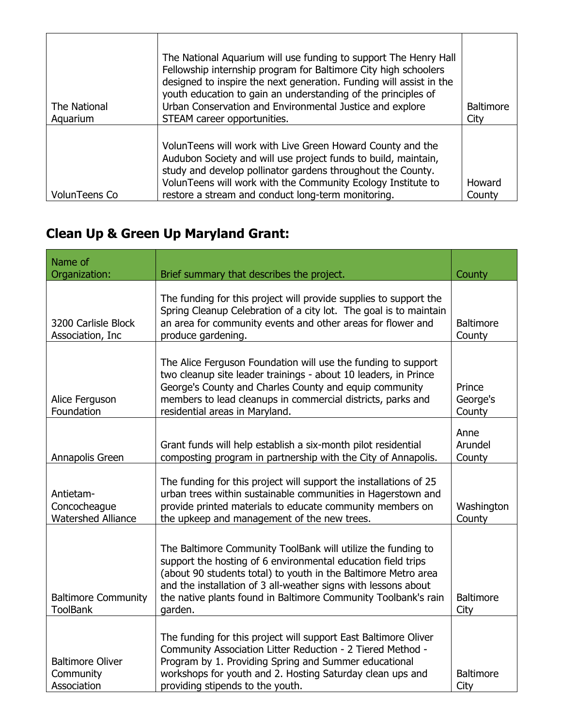| The National<br>Aquarium | The National Aquarium will use funding to support The Henry Hall<br>Fellowship internship program for Baltimore City high schoolers<br>designed to inspire the next generation. Funding will assist in the<br>youth education to gain an understanding of the principles of<br>Urban Conservation and Environmental Justice and explore<br>STEAM career opportunities. | <b>Baltimore</b><br>City |
|--------------------------|------------------------------------------------------------------------------------------------------------------------------------------------------------------------------------------------------------------------------------------------------------------------------------------------------------------------------------------------------------------------|--------------------------|
| VolunTeens Co            | VolunTeens will work with Live Green Howard County and the<br>Audubon Society and will use project funds to build, maintain,<br>study and develop pollinator gardens throughout the County.<br>VolunTeens will work with the Community Ecology Institute to<br>restore a stream and conduct long-term monitoring.                                                      | Howard<br>County         |

## **Clean Up & Green Up Maryland Grant:**

| Name of<br>Organization:                               | Brief summary that describes the project.                                                                                                                                                                                                                                                                                                     | County                       |
|--------------------------------------------------------|-----------------------------------------------------------------------------------------------------------------------------------------------------------------------------------------------------------------------------------------------------------------------------------------------------------------------------------------------|------------------------------|
| 3200 Carlisle Block<br>Association, Inc                | The funding for this project will provide supplies to support the<br>Spring Cleanup Celebration of a city lot. The goal is to maintain<br>an area for community events and other areas for flower and<br>produce gardening.                                                                                                                   | <b>Baltimore</b><br>County   |
| Alice Ferguson<br>Foundation                           | The Alice Ferguson Foundation will use the funding to support<br>two cleanup site leader trainings - about 10 leaders, in Prince<br>George's County and Charles County and equip community<br>members to lead cleanups in commercial districts, parks and<br>residential areas in Maryland.                                                   | Prince<br>George's<br>County |
| Annapolis Green                                        | Grant funds will help establish a six-month pilot residential<br>composting program in partnership with the City of Annapolis.                                                                                                                                                                                                                | Anne<br>Arundel<br>County    |
| Antietam-<br>Concocheague<br><b>Watershed Alliance</b> | The funding for this project will support the installations of 25<br>urban trees within sustainable communities in Hagerstown and<br>provide printed materials to educate community members on<br>the upkeep and management of the new trees.                                                                                                 | Washington<br>County         |
| <b>Baltimore Community</b><br><b>ToolBank</b>          | The Baltimore Community ToolBank will utilize the funding to<br>support the hosting of 6 environmental education field trips<br>(about 90 students total) to youth in the Baltimore Metro area<br>and the installation of 3 all-weather signs with lessons about<br>the native plants found in Baltimore Community Toolbank's rain<br>garden. | <b>Baltimore</b><br>City     |
| <b>Baltimore Oliver</b><br>Community<br>Association    | The funding for this project will support East Baltimore Oliver<br>Community Association Litter Reduction - 2 Tiered Method -<br>Program by 1. Providing Spring and Summer educational<br>workshops for youth and 2. Hosting Saturday clean ups and<br>providing stipends to the youth.                                                       | <b>Baltimore</b><br>City     |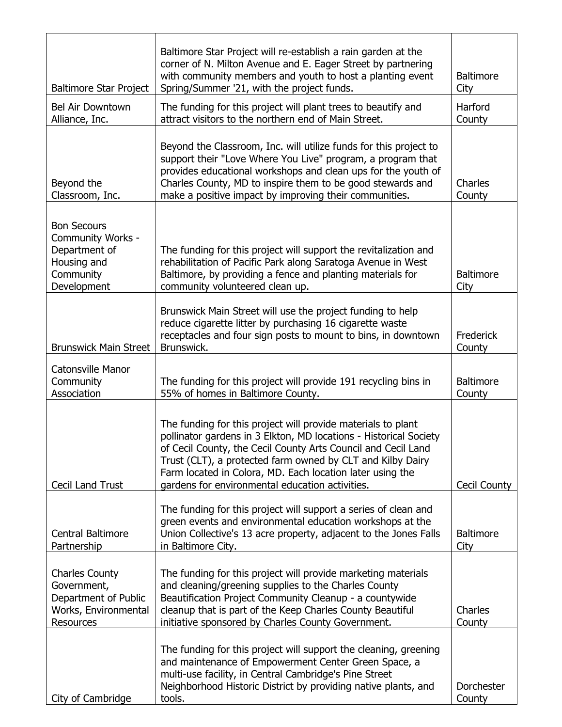| <b>Baltimore Star Project</b>                                                                       | Baltimore Star Project will re-establish a rain garden at the<br>corner of N. Milton Avenue and E. Eager Street by partnering<br>with community members and youth to host a planting event<br>Spring/Summer '21, with the project funds.                                                                                                                                         | <b>Baltimore</b><br>City   |
|-----------------------------------------------------------------------------------------------------|----------------------------------------------------------------------------------------------------------------------------------------------------------------------------------------------------------------------------------------------------------------------------------------------------------------------------------------------------------------------------------|----------------------------|
| <b>Bel Air Downtown</b><br>Alliance, Inc.                                                           | The funding for this project will plant trees to beautify and<br>attract visitors to the northern end of Main Street.                                                                                                                                                                                                                                                            | Harford<br>County          |
| Beyond the<br>Classroom, Inc.                                                                       | Beyond the Classroom, Inc. will utilize funds for this project to<br>support their "Love Where You Live" program, a program that<br>provides educational workshops and clean ups for the youth of<br>Charles County, MD to inspire them to be good stewards and<br>make a positive impact by improving their communities.                                                        | Charles<br>County          |
| <b>Bon Secours</b><br>Community Works -<br>Department of<br>Housing and<br>Community<br>Development | The funding for this project will support the revitalization and<br>rehabilitation of Pacific Park along Saratoga Avenue in West<br>Baltimore, by providing a fence and planting materials for<br>community volunteered clean up.                                                                                                                                                | <b>Baltimore</b><br>City   |
| <b>Brunswick Main Street</b>                                                                        | Brunswick Main Street will use the project funding to help<br>reduce cigarette litter by purchasing 16 cigarette waste<br>receptacles and four sign posts to mount to bins, in downtown<br>Brunswick.                                                                                                                                                                            | Frederick<br>County        |
| <b>Catonsville Manor</b><br>Community<br>Association                                                | The funding for this project will provide 191 recycling bins in<br>55% of homes in Baltimore County.                                                                                                                                                                                                                                                                             | <b>Baltimore</b><br>County |
| Cecil Land Trust                                                                                    | The funding for this project will provide materials to plant<br>pollinator gardens in 3 Elkton, MD locations - Historical Society<br>of Cecil County, the Cecil County Arts Council and Cecil Land<br>Trust (CLT), a protected farm owned by CLT and Kilby Dairy<br>Farm located in Colora, MD. Each location later using the<br>gardens for environmental education activities. | Cecil County               |
| <b>Central Baltimore</b><br>Partnership                                                             | The funding for this project will support a series of clean and<br>green events and environmental education workshops at the<br>Union Collective's 13 acre property, adjacent to the Jones Falls<br>in Baltimore City.                                                                                                                                                           | <b>Baltimore</b><br>City   |
| <b>Charles County</b><br>Government,<br>Department of Public<br>Works, Environmental<br>Resources   | The funding for this project will provide marketing materials<br>and cleaning/greening supplies to the Charles County<br>Beautification Project Community Cleanup - a countywide<br>cleanup that is part of the Keep Charles County Beautiful<br>initiative sponsored by Charles County Government.                                                                              | Charles<br>County          |
| City of Cambridge                                                                                   | The funding for this project will support the cleaning, greening<br>and maintenance of Empowerment Center Green Space, a<br>multi-use facility, in Central Cambridge's Pine Street<br>Neighborhood Historic District by providing native plants, and<br>tools.                                                                                                                   | Dorchester<br>County       |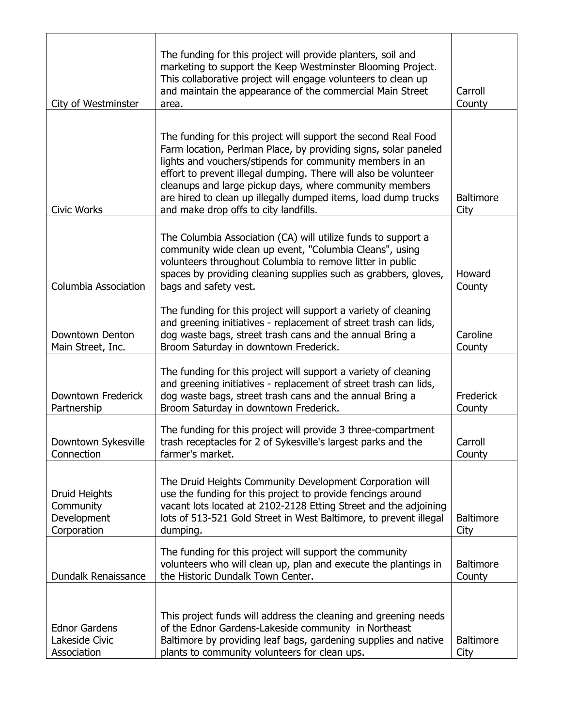| City of Westminster                                      | The funding for this project will provide planters, soil and<br>marketing to support the Keep Westminster Blooming Project.<br>This collaborative project will engage volunteers to clean up<br>and maintain the appearance of the commercial Main Street<br>area.                                                                                                                                                                     | Carroll<br>County          |
|----------------------------------------------------------|----------------------------------------------------------------------------------------------------------------------------------------------------------------------------------------------------------------------------------------------------------------------------------------------------------------------------------------------------------------------------------------------------------------------------------------|----------------------------|
| <b>Civic Works</b>                                       | The funding for this project will support the second Real Food<br>Farm location, Perlman Place, by providing signs, solar paneled<br>lights and vouchers/stipends for community members in an<br>effort to prevent illegal dumping. There will also be volunteer<br>cleanups and large pickup days, where community members<br>are hired to clean up illegally dumped items, load dump trucks<br>and make drop offs to city landfills. | <b>Baltimore</b><br>City   |
| Columbia Association                                     | The Columbia Association (CA) will utilize funds to support a<br>community wide clean up event, "Columbia Cleans", using<br>volunteers throughout Columbia to remove litter in public<br>spaces by providing cleaning supplies such as grabbers, gloves,<br>bags and safety vest.                                                                                                                                                      | Howard<br>County           |
| Downtown Denton<br>Main Street, Inc.                     | The funding for this project will support a variety of cleaning<br>and greening initiatives - replacement of street trash can lids,<br>dog waste bags, street trash cans and the annual Bring a<br>Broom Saturday in downtown Frederick.                                                                                                                                                                                               | Caroline<br>County         |
| Downtown Frederick<br>Partnership                        | The funding for this project will support a variety of cleaning<br>and greening initiatives - replacement of street trash can lids,<br>dog waste bags, street trash cans and the annual Bring a<br>Broom Saturday in downtown Frederick.                                                                                                                                                                                               | Frederick<br>County        |
| Downtown Sykesville<br>Connection                        | The funding for this project will provide 3 three-compartment<br>trash receptacles for 2 of Sykesville's largest parks and the<br>farmer's market.                                                                                                                                                                                                                                                                                     | Carroll<br>County          |
| Druid Heights<br>Community<br>Development<br>Corporation | The Druid Heights Community Development Corporation will<br>use the funding for this project to provide fencings around<br>vacant lots located at 2102-2128 Etting Street and the adjoining<br>lots of 513-521 Gold Street in West Baltimore, to prevent illegal<br>dumping.                                                                                                                                                           | <b>Baltimore</b><br>City   |
| Dundalk Renaissance                                      | The funding for this project will support the community<br>volunteers who will clean up, plan and execute the plantings in<br>the Historic Dundalk Town Center.                                                                                                                                                                                                                                                                        | <b>Baltimore</b><br>County |
| <b>Ednor Gardens</b><br>Lakeside Civic<br>Association    | This project funds will address the cleaning and greening needs<br>of the Ednor Gardens-Lakeside community in Northeast<br>Baltimore by providing leaf bags, gardening supplies and native<br>plants to community volunteers for clean ups.                                                                                                                                                                                            | <b>Baltimore</b><br>City   |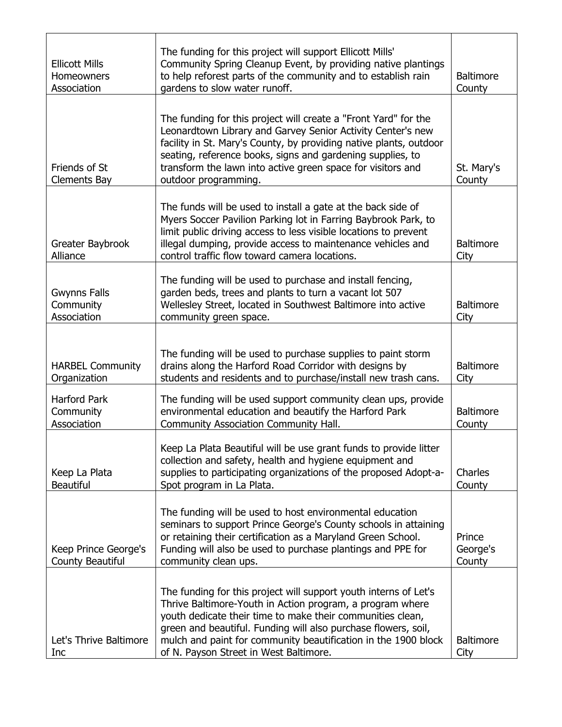| <b>Ellicott Mills</b><br>Homeowners<br>Association | The funding for this project will support Ellicott Mills'<br>Community Spring Cleanup Event, by providing native plantings<br>to help reforest parts of the community and to establish rain<br>gardens to slow water runoff.                                                                                                                                              | <b>Baltimore</b><br>County   |
|----------------------------------------------------|---------------------------------------------------------------------------------------------------------------------------------------------------------------------------------------------------------------------------------------------------------------------------------------------------------------------------------------------------------------------------|------------------------------|
| Friends of St<br><b>Clements Bay</b>               | The funding for this project will create a "Front Yard" for the<br>Leonardtown Library and Garvey Senior Activity Center's new<br>facility in St. Mary's County, by providing native plants, outdoor<br>seating, reference books, signs and gardening supplies, to<br>transform the lawn into active green space for visitors and<br>outdoor programming.                 | St. Mary's<br>County         |
| Greater Baybrook<br>Alliance                       | The funds will be used to install a gate at the back side of<br>Myers Soccer Pavilion Parking lot in Farring Baybrook Park, to<br>limit public driving access to less visible locations to prevent<br>illegal dumping, provide access to maintenance vehicles and<br>control traffic flow toward camera locations.                                                        | <b>Baltimore</b><br>City     |
| <b>Gwynns Falls</b><br>Community<br>Association    | The funding will be used to purchase and install fencing,<br>garden beds, trees and plants to turn a vacant lot 507<br>Wellesley Street, located in Southwest Baltimore into active<br>community green space.                                                                                                                                                             | <b>Baltimore</b><br>City     |
| <b>HARBEL Community</b><br>Organization            | The funding will be used to purchase supplies to paint storm<br>drains along the Harford Road Corridor with designs by<br>students and residents and to purchase/install new trash cans.                                                                                                                                                                                  | <b>Baltimore</b><br>City     |
| <b>Harford Park</b><br>Community<br>Association    | The funding will be used support community clean ups, provide<br>environmental education and beautify the Harford Park<br>Community Association Community Hall.                                                                                                                                                                                                           | <b>Baltimore</b><br>County   |
| Keep La Plata<br><b>Beautiful</b>                  | Keep La Plata Beautiful will be use grant funds to provide litter<br>collection and safety, health and hygiene equipment and<br>supplies to participating organizations of the proposed Adopt-a-<br>Spot program in La Plata.                                                                                                                                             | Charles<br>County            |
| Keep Prince George's<br>County Beautiful           | The funding will be used to host environmental education<br>seminars to support Prince George's County schools in attaining<br>or retaining their certification as a Maryland Green School.<br>Funding will also be used to purchase plantings and PPE for<br>community clean ups.                                                                                        | Prince<br>George's<br>County |
| Let's Thrive Baltimore<br>Inc                      | The funding for this project will support youth interns of Let's<br>Thrive Baltimore-Youth in Action program, a program where<br>youth dedicate their time to make their communities clean,<br>green and beautiful. Funding will also purchase flowers, soil,<br>mulch and paint for community beautification in the 1900 block<br>of N. Payson Street in West Baltimore. | <b>Baltimore</b><br>City     |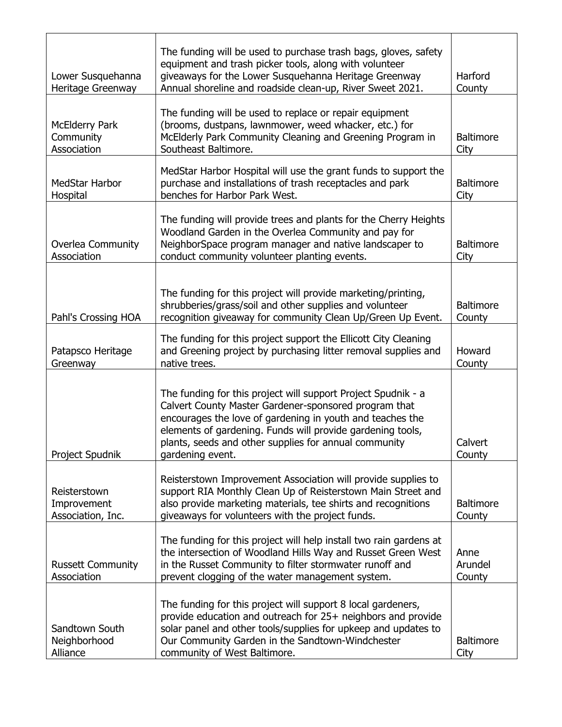| Lower Susquehanna<br>Heritage Greenway            | The funding will be used to purchase trash bags, gloves, safety<br>equipment and trash picker tools, along with volunteer<br>giveaways for the Lower Susquehanna Heritage Greenway<br>Annual shoreline and roadside clean-up, River Sweet 2021.                                                                                | Harford<br>County          |
|---------------------------------------------------|--------------------------------------------------------------------------------------------------------------------------------------------------------------------------------------------------------------------------------------------------------------------------------------------------------------------------------|----------------------------|
| <b>McElderry Park</b><br>Community<br>Association | The funding will be used to replace or repair equipment<br>(brooms, dustpans, lawnmower, weed whacker, etc.) for<br>McElderly Park Community Cleaning and Greening Program in<br>Southeast Baltimore.                                                                                                                          | <b>Baltimore</b><br>City   |
| <b>MedStar Harbor</b><br>Hospital                 | MedStar Harbor Hospital will use the grant funds to support the<br>purchase and installations of trash receptacles and park<br>benches for Harbor Park West.                                                                                                                                                                   | <b>Baltimore</b><br>City   |
| <b>Overlea Community</b><br>Association           | The funding will provide trees and plants for the Cherry Heights<br>Woodland Garden in the Overlea Community and pay for<br>NeighborSpace program manager and native landscaper to<br>conduct community volunteer planting events.                                                                                             | <b>Baltimore</b><br>City   |
| Pahl's Crossing HOA                               | The funding for this project will provide marketing/printing,<br>shrubberies/grass/soil and other supplies and volunteer<br>recognition giveaway for community Clean Up/Green Up Event.                                                                                                                                        | <b>Baltimore</b><br>County |
| Patapsco Heritage<br>Greenway                     | The funding for this project support the Ellicott City Cleaning<br>and Greening project by purchasing litter removal supplies and<br>native trees.                                                                                                                                                                             | Howard<br>County           |
| Project Spudnik                                   | The funding for this project will support Project Spudnik - a<br>Calvert County Master Gardener-sponsored program that<br>encourages the love of gardening in youth and teaches the<br>elements of gardening. Funds will provide gardening tools,<br>plants, seeds and other supplies for annual community<br>gardening event. | Calvert<br>County          |
| Reisterstown<br>Improvement<br>Association, Inc.  | Reisterstown Improvement Association will provide supplies to<br>support RIA Monthly Clean Up of Reisterstown Main Street and<br>also provide marketing materials, tee shirts and recognitions<br>giveaways for volunteers with the project funds.                                                                             | <b>Baltimore</b><br>County |
| <b>Russett Community</b><br>Association           | The funding for this project will help install two rain gardens at<br>the intersection of Woodland Hills Way and Russet Green West<br>in the Russet Community to filter stormwater runoff and<br>prevent clogging of the water management system.                                                                              | Anne<br>Arundel<br>County  |
| Sandtown South<br>Neighborhood<br>Alliance        | The funding for this project will support 8 local gardeners,<br>provide education and outreach for 25+ neighbors and provide<br>solar panel and other tools/supplies for upkeep and updates to<br>Our Community Garden in the Sandtown-Windchester<br>community of West Baltimore.                                             | <b>Baltimore</b><br>City   |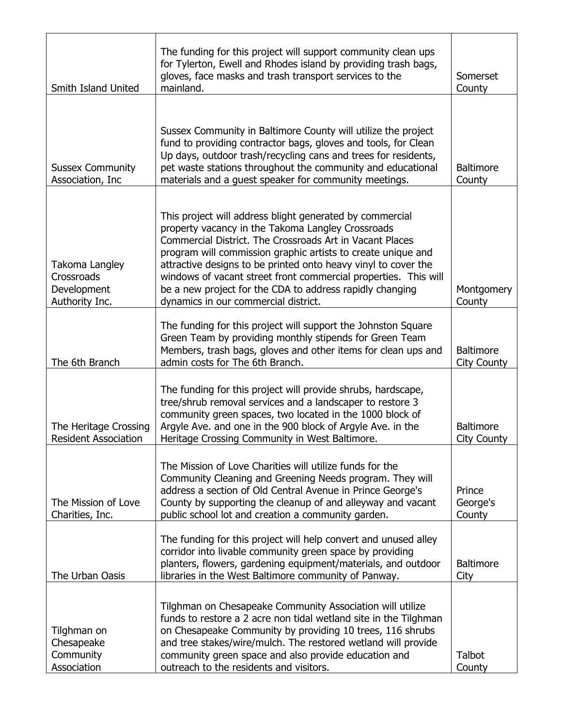| Smith Island United                                           | The funding for this project will support community clean ups<br>for Tylerton, Ewell and Rhodes island by providing trash bags,<br>gloves, face masks and trash transport services to the<br>mainland.                                                                                                                                                                                                                                                                             | Somerset<br>County                     |
|---------------------------------------------------------------|------------------------------------------------------------------------------------------------------------------------------------------------------------------------------------------------------------------------------------------------------------------------------------------------------------------------------------------------------------------------------------------------------------------------------------------------------------------------------------|----------------------------------------|
| <b>Sussex Community</b><br>Association, Inc                   | Sussex Community in Baltimore County will utilize the project<br>fund to providing contractor bags, gloves and tools, for Clean<br>Up days, outdoor trash/recycling cans and trees for residents,<br>pet waste stations throughout the community and educational<br>materials and a guest speaker for community meetings.                                                                                                                                                          | <b>Baltimore</b><br>County             |
| Takoma Langley<br>Crossroads<br>Development<br>Authority Inc. | This project will address blight generated by commercial<br>property vacancy in the Takoma Langley Crossroads<br>Commercial District. The Crossroads Art in Vacant Places<br>program will commission graphic artists to create unique and<br>attractive designs to be printed onto heavy vinyl to cover the<br>windows of vacant street front commercial properties. This will<br>be a new project for the CDA to address rapidly changing<br>dynamics in our commercial district. | Montgomery<br>County                   |
| The 6th Branch                                                | The funding for this project will support the Johnston Square<br>Green Team by providing monthly stipends for Green Team<br>Members, trash bags, gloves and other items for clean ups and<br>admin costs for The 6th Branch.                                                                                                                                                                                                                                                       | <b>Baltimore</b><br>City County        |
| The Heritage Crossing<br><b>Resident Association</b>          | The funding for this project will provide shrubs, hardscape,<br>tree/shrub removal services and a landscaper to restore 3<br>community green spaces, two located in the 1000 block of<br>Argyle Ave. and one in the 900 block of Argyle Ave. in the<br>Heritage Crossing Community in West Baltimore.                                                                                                                                                                              | <b>Baltimore</b><br><b>City County</b> |
| The Mission of Love<br>Charities, Inc.                        | The Mission of Love Charities will utilize funds for the<br>Community Cleaning and Greening Needs program. They will<br>address a section of Old Central Avenue in Prince George's<br>County by supporting the cleanup of and alleyway and vacant<br>public school lot and creation a community garden.                                                                                                                                                                            | Prince<br>George's<br>County           |
| The Urban Oasis                                               | The funding for this project will help convert and unused alley<br>corridor into livable community green space by providing<br>planters, flowers, gardening equipment/materials, and outdoor<br>libraries in the West Baltimore community of Panway.                                                                                                                                                                                                                               | <b>Baltimore</b><br>City               |
| Tilghman on<br>Chesapeake<br>Community<br>Association         | Tilghman on Chesapeake Community Association will utilize<br>funds to restore a 2 acre non tidal wetland site in the Tilghman<br>on Chesapeake Community by providing 10 trees, 116 shrubs<br>and tree stakes/wire/mulch. The restored wetland will provide<br>community green space and also provide education and<br>outreach to the residents and visitors.                                                                                                                     | Talbot<br>County                       |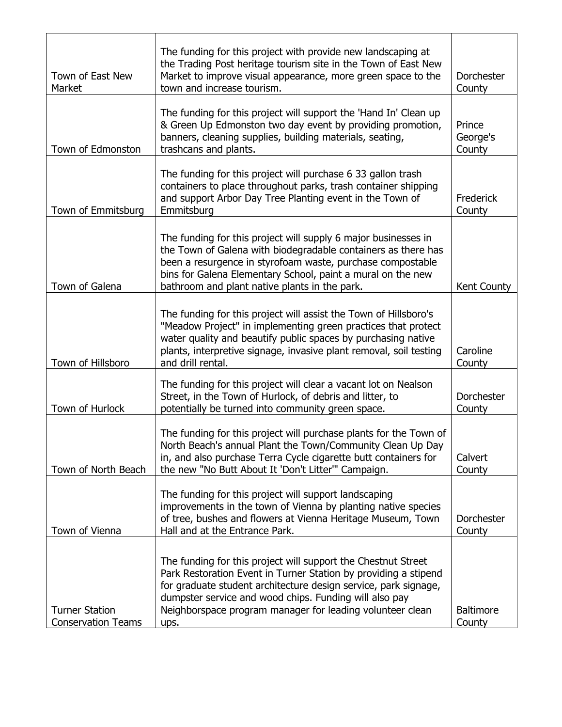| Town of East New<br>Market                         | The funding for this project with provide new landscaping at<br>the Trading Post heritage tourism site in the Town of East New<br>Market to improve visual appearance, more green space to the<br>town and increase tourism.                                                                                                       | Dorchester<br>County         |
|----------------------------------------------------|------------------------------------------------------------------------------------------------------------------------------------------------------------------------------------------------------------------------------------------------------------------------------------------------------------------------------------|------------------------------|
|                                                    |                                                                                                                                                                                                                                                                                                                                    |                              |
| Town of Edmonston                                  | The funding for this project will support the 'Hand In' Clean up<br>& Green Up Edmonston two day event by providing promotion,<br>banners, cleaning supplies, building materials, seating,<br>trashcans and plants.                                                                                                                | Prince<br>George's<br>County |
|                                                    | The funding for this project will purchase 6 33 gallon trash<br>containers to place throughout parks, trash container shipping<br>and support Arbor Day Tree Planting event in the Town of                                                                                                                                         | Frederick                    |
| Town of Emmitsburg                                 | Emmitsburg                                                                                                                                                                                                                                                                                                                         | County                       |
| Town of Galena                                     | The funding for this project will supply 6 major businesses in<br>the Town of Galena with biodegradable containers as there has<br>been a resurgence in styrofoam waste, purchase compostable<br>bins for Galena Elementary School, paint a mural on the new<br>bathroom and plant native plants in the park.                      | Kent County                  |
|                                                    |                                                                                                                                                                                                                                                                                                                                    |                              |
| Town of Hillsboro                                  | The funding for this project will assist the Town of Hillsboro's<br>"Meadow Project" in implementing green practices that protect<br>water quality and beautify public spaces by purchasing native<br>plants, interpretive signage, invasive plant removal, soil testing<br>and drill rental.                                      | Caroline<br>County           |
|                                                    |                                                                                                                                                                                                                                                                                                                                    |                              |
| Town of Hurlock                                    | The funding for this project will clear a vacant lot on Nealson<br>Street, in the Town of Hurlock, of debris and litter, to<br>potentially be turned into community green space.                                                                                                                                                   | Dorchester<br>County         |
| Town of North Beach                                | The funding for this project will purchase plants for the Town of<br>North Beach's annual Plant the Town/Community Clean Up Day<br>in, and also purchase Terra Cycle cigarette butt containers for<br>the new "No Butt About It 'Don't Litter'" Campaign.                                                                          | Calvert<br>County            |
| Town of Vienna                                     | The funding for this project will support landscaping<br>improvements in the town of Vienna by planting native species<br>of tree, bushes and flowers at Vienna Heritage Museum, Town<br>Hall and at the Entrance Park.                                                                                                            | Dorchester<br>County         |
| <b>Turner Station</b><br><b>Conservation Teams</b> | The funding for this project will support the Chestnut Street<br>Park Restoration Event in Turner Station by providing a stipend<br>for graduate student architecture design service, park signage,<br>dumpster service and wood chips. Funding will also pay<br>Neighborspace program manager for leading volunteer clean<br>ups. | <b>Baltimore</b><br>County   |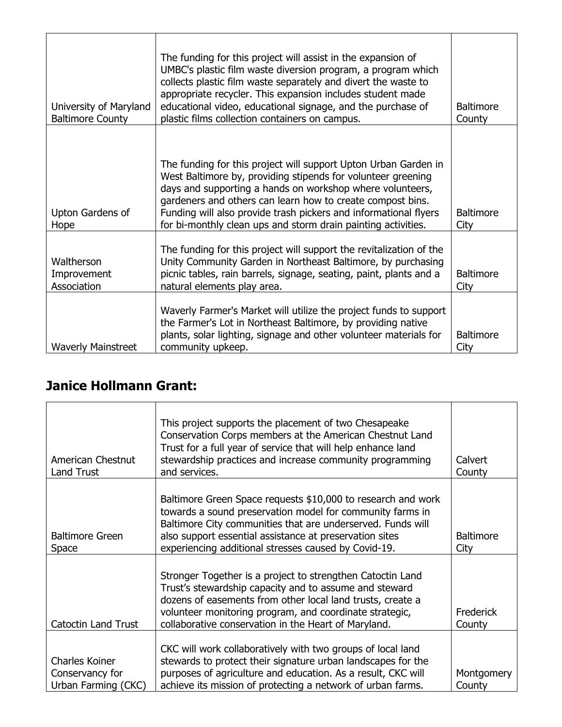| University of Maryland<br><b>Baltimore County</b> | The funding for this project will assist in the expansion of<br>UMBC's plastic film waste diversion program, a program which<br>collects plastic film waste separately and divert the waste to<br>appropriate recycler. This expansion includes student made<br>educational video, educational signage, and the purchase of<br>plastic films collection containers on campus.                   | <b>Baltimore</b><br>County |
|---------------------------------------------------|-------------------------------------------------------------------------------------------------------------------------------------------------------------------------------------------------------------------------------------------------------------------------------------------------------------------------------------------------------------------------------------------------|----------------------------|
| Upton Gardens of<br>Hope                          | The funding for this project will support Upton Urban Garden in<br>West Baltimore by, providing stipends for volunteer greening<br>days and supporting a hands on workshop where volunteers,<br>gardeners and others can learn how to create compost bins.<br>Funding will also provide trash pickers and informational flyers<br>for bi-monthly clean ups and storm drain painting activities. | <b>Baltimore</b><br>City   |
| Waltherson<br>Improvement<br>Association          | The funding for this project will support the revitalization of the<br>Unity Community Garden in Northeast Baltimore, by purchasing<br>picnic tables, rain barrels, signage, seating, paint, plants and a<br>natural elements play area.                                                                                                                                                        | <b>Baltimore</b><br>City   |
| <b>Waverly Mainstreet</b>                         | Waverly Farmer's Market will utilize the project funds to support<br>the Farmer's Lot in Northeast Baltimore, by providing native<br>plants, solar lighting, signage and other volunteer materials for<br>community upkeep.                                                                                                                                                                     | <b>Baltimore</b><br>City   |

## **Janice Hollmann Grant:**

| American Chestnut<br>Land Trust                                 | This project supports the placement of two Chesapeake<br>Conservation Corps members at the American Chestnut Land<br>Trust for a full year of service that will help enhance land<br>stewardship practices and increase community programming<br>and services.                                              | Calvert<br>County          |
|-----------------------------------------------------------------|-------------------------------------------------------------------------------------------------------------------------------------------------------------------------------------------------------------------------------------------------------------------------------------------------------------|----------------------------|
| <b>Baltimore Green</b><br>Space                                 | Baltimore Green Space requests \$10,000 to research and work<br>towards a sound preservation model for community farms in<br>Baltimore City communities that are underserved. Funds will<br>also support essential assistance at preservation sites<br>experiencing additional stresses caused by Covid-19. | <b>Baltimore</b><br>City   |
| <b>Catoctin Land Trust</b>                                      | Stronger Together is a project to strengthen Catoctin Land<br>Trust's stewardship capacity and to assume and steward<br>dozens of easements from other local land trusts, create a<br>volunteer monitoring program, and coordinate strategic,<br>collaborative conservation in the Heart of Maryland.       | <b>Frederick</b><br>County |
| <b>Charles Koiner</b><br>Conservancy for<br>Urban Farming (CKC) | CKC will work collaboratively with two groups of local land<br>stewards to protect their signature urban landscapes for the<br>purposes of agriculture and education. As a result, CKC will<br>achieve its mission of protecting a network of urban farms.                                                  | Montgomery<br>County       |